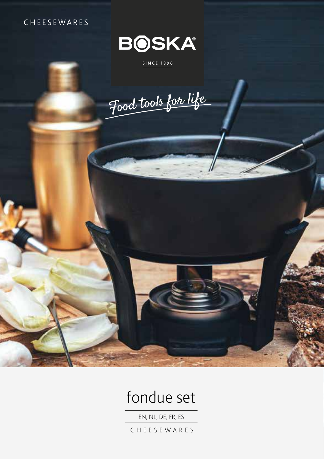# CHEESEWARES



## SINCE 1896

Food took for life



EN, NL, DE, FR, ES

CHEESEWARES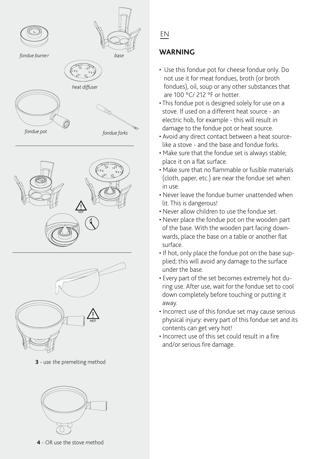





**3** - use the premelting method



**4** - OR use the stove method

# EN

# **WARNING**

- Use this fondue pot for cheese fondue only. Do not use it for meat fondues, broth (or broth fondues), oil, soup or any other substances that are 100 °C/ 212 °F or hotter.
- This fondue pot is designed solely for use on a stove. If used on a different heat source - an electric hob, for example - this will result in damage to the fondue pot or heat source.
- Avoid any direct contact between a heat source like a stove - and the base and fondue forks.
- Make sure that the fondue set is always stable; place it on a flat surface.
- Make sure that no flammable or fusible materials (cloth, paper, etc.) are near the fondue set when in use.
- Never leave the fondue burner unattended when lit. This is dangerous!
- Never allow children to use the fondue set.
- Never place the fondue pot on the wooden part of the base. With the wooden part facing down wards, place the base on a table or another flat surface.
- If hot, only place the fondue pot on the base sup plied; this will avoid any damage to the surface under the base.
- Every part of the set becomes extremely hot du ring use. After use, wait for the fondue set to cool down completely before touching or putting it away.
- Incorrect use of this fondue set may cause serious physical injury: every part of this fondue set and its contents can get very hot!
- Incorrect use of this set could result in a fire and/or serious fire damage.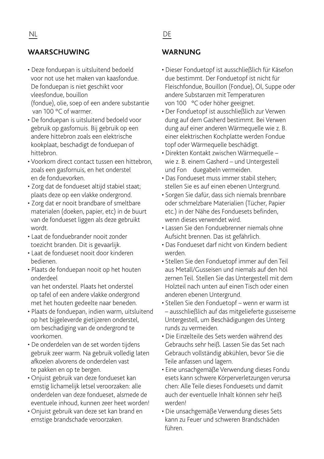## **WAARSCHUWING WARNUNG**

• Deze fonduepan is uitsluitend bedoeld voor not use het maken van kaasfondue. De fonduepan is niet geschikt voor vleesfondue, bouillon (fondue), olie, soep of een andere substantie

van 100 °C of warmer.

- De fonduepan is uitsluitend bedoeld voor gebruik op gasfornuis. Bij gebruik op een andere hittebron zoals een elektrische kookplaat, beschadigt de fonduepan of hittebron.
- Voorkom direct contact tussen een hittebron, zoals een gasfornuis, en het onderstel en de fonduevorken.
- Zorg dat de fondueset altijd stabiel staat; plaats deze op een vlakke ondergrond.
- Zorg dat er nooit brandbare of smeltbare materialen (doeken, papier, etc) in de buurt van de fondueset liggen als deze gebruikt wordt.
- Laat de fonduebrander nooit zonder toezicht branden. Dit is gevaarlijk.
- Laat de fondueset nooit door kinderen bedienen.
- Plaats de fonduepan nooit op het houten onderdeel van het onderstel. Plaats het onderstel

 op tafel of een andere vlakke ondergrond met het houten gedeelte naar beneden.

- Plaats de fonduepan, indien warm, uitsluitend op het bijgeleverde gietijzeren onderstel, om beschadiging van de ondergrond te voorkomen.
- De onderdelen van de set worden tijdens gebruik zeer warm. Na gebruik volledig laten afkoelen alvorens de onderdelen vast te pakken en op te bergen.
- Onjuist gebruik van deze fondueset kan ernstig lichamelijk letsel veroorzaken: alle onderdelen van deze fondueset, alsmede de eventuele inhoud, kunnen zeer heet worden!
- Onjuist gebruik van deze set kan brand en ernstige brandschade veroorzaken.

- Dieser Fonduetopf ist ausschließlich für Käsefon due bestimmt. Der Fonduetopf ist nicht für Fleischfondue, Bouillon (Fondue), Öl, Suppe oder andere Substanzen mit Temperaturen von 100 °C oder höher geeignet.
- Der Fonduetopf ist ausschließlich zur Verwen dung auf dem Gasherd bestimmt. Bei Verwen dung auf einer anderen Wärmequelle wie z. B. einer elektrischen Kochplatte werden Fondue topf oder Wärmequelle beschädigt.
- Direkten Kontakt zwischen Wärmequelle wie z. B. einem Gasherd – und Untergestell und Fon duegabeln vermeiden.
- Das Fondueset muss immer stabil stehen; stellen Sie es auf einen ebenen Untergrund.
- Sorgen Sie dafür, dass sich niemals brennbare oder schmelzbare Materialien (Tücher, Papier etc.) in der Nähe des Fonduesets befinden, wenn dieses verwendet wird.
- Lassen Sie den Fonduebrenner niemals ohne Aufsicht brennen. Das ist gefährlich.
- Das Fondueset darf nicht von Kindern bedient werden.
- Stellen Sie den Fonduetopf immer auf den Teil aus Metall/Gusseisen und niemals auf den höl zernen Teil. Stellen Sie das Untergestell mit dem Holzteil nach unten auf einen Tisch oder einen anderen ebenen Untergrund.
- Stellen Sie den Fonduetopf wenn er warm ist – ausschließlich auf das mitgelieferte gusseiserne Untergestell, um Beschädigungen des Unterg runds zu vermeiden.
- Die Einzelteile des Sets werden während des Gebrauchs sehr heiß. Lassen Sie das Set nach Gebrauch vollständig abkühlen, bevor Sie die Teile anfassen und lagern.
- Eine unsachgemäße Verwendung dieses Fondu esets kann schwere Körperverletzungen verursa chen: Alle Teile dieses Fonduesets und damit auch der eventuelle Inhalt können sehr heiß werden!
- Die unsachgemäße Verwendung dieses Sets kann zu Feuer und schweren Brandschäden führen.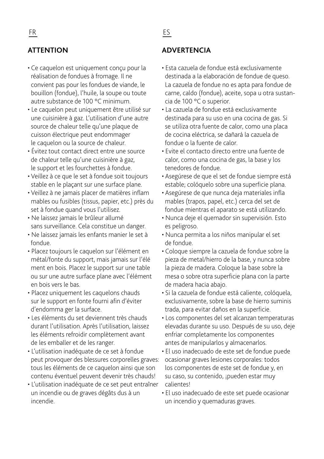- Ce caquelon est uniquement conçu pour la réalisation de fondues à fromage. Il ne convient pas pour les fondues de viande, le bouillon (fondue), l'huile, la soupe ou toute autre substance de 100 °C minimum.
- Le caquelon peut uniquement être utilisé sur une cuisinière à gaz. L'utilisation d'une autre source de chaleur telle qu'une plaque de cuisson électrique peut endommager le caquelon ou la source de chaleur.
- Évitez tout contact direct entre une source de chaleur telle qu'une cuisinière à gaz, le support et les fourchettes à fondue.
- Veillez à ce que le set à fondue soit toujours stable en le plaçant sur une surface plane.
- Veillez à ne jamais placer de matières inflam mables ou fusibles (tissus, papier, etc.) près du set à fondue quand vous l'utilisez.
- Ne laissez jamais le brûleur allumé sans surveillance. Cela constitue un danger.
- Ne laissez jamais les enfants manier le set à fondue.
- Placez toujours le caquelon sur l'élément en métal/fonte du support, mais jamais sur l'élé ment en bois. Placez le support sur une table ou sur une autre surface plane avec l'élément en bois vers le bas.
- Placez uniquement les caquelons chauds sur le support en fonte fourni afin d'éviter d'endomma ger la surface.
- Les éléments du set deviennent très chauds durant l'utilisation. Après l'utilisation, laissez les éléments refroidir complètement avant de les emballer et de les ranger.
- L'utilisation inadéquate de ce set à fondue peut provoquer des blessures corporelles graves: tous les éléments de ce caquelon ainsi que son contenu éventuel peuvent devenir très chauds!
- L'utilisation inadéquate de ce set peut entraîner un incendie ou de graves dégâts dus à un incendie.

# **ATTENTION ADVERTENCIA**

- Esta cazuela de fondue está exclusivamente destinada a la elaboración de fondue de queso. La cazuela de fondue no es apta para fondue de carne, caldo (fondue), aceite, sopa u otra sustan cia de 100 °C o superior.
- La cazuela de fondue está exclusivamente destinada para su uso en una cocina de gas. Si se utiliza otra fuente de calor, como una placa de cocina eléctrica, se dañará la cazuela de fondue o la fuente de calor.
- Evite el contacto directo entre una fuente de calor, como una cocina de gas, la base y los tenedores de fondue.
- Asegúrese de que el set de fondue siempre está estable; colóquelo sobre una superficie plana.
- Asegúrese de que nunca deja materiales infla mables (trapos, papel, etc.) cerca del set de fondue mientras el aparato se está utilizando.
- Nunca deje el quemador sin supervisión. Esto es peligroso.
- Nunca permita a los niños manipular el set de fondue.
- Coloque siempre la cazuela de fondue sobre la pieza de metal/hierro de la base, y nunca sobre la pieza de madera. Coloque la base sobre la mesa o sobre otra superficie plana con la parte de madera hacia abajo.
- Si la cazuela de fondue está caliente, colóquela, exclusivamente, sobre la base de hierro suminis trada, para evitar daños en la superficie.
- Los componentes del set alcanzan temperaturas elevadas durante su uso. Después de su uso, deje enfriar completamente los componentes antes de manipularlos y almacenarlos.
- El uso inadecuado de este set de fondue puede ocasionar graves lesiones corporales: todos los componentes de este set de fondue y, en su caso, su contenido, ¡pueden estar muy calientes!
- El uso inadecuado de este set puede ocasionar un incendio y quemaduras graves.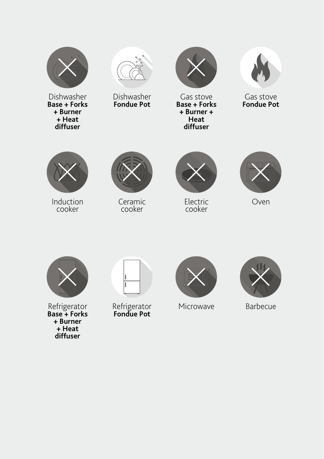

Dishwasher **Base + Forks + Burner + Heat diffuser**



Dishwasher **Fondue Pot**



Gas stove **Base + Forks + Burner + Heat diffuser** 



Gas stove **Fondue Pot**



Induction cooker



Ceramic cooker



Electric cooker



Oven



Refrigerator **Base + Forks + Burner + Heat diffuser**



Refrigerator **Fondue Pot**



Microwave



Barbecue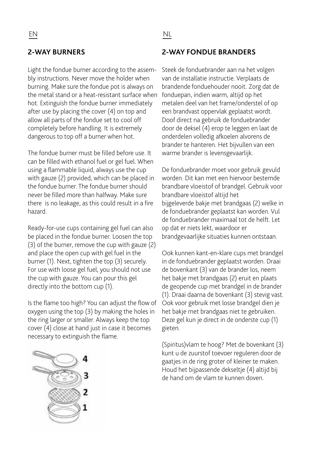Light the fondue burner according to the assembly instructions. Never move the holder when burning. Make sure the fondue pot is always on the metal stand or a heat-resistant surface when fonduepan, indien warm, altijd op het hot. Extinguish the fondue burner immediately after use by placing the cover (4) on top and allow all parts of the fondue set to cool off completely before handling. It is extremely dangerous to top off a burner when hot.

The fondue burner must be filled before use. It can be filled with ethanol fuel or gel fuel. When using a flammable liquid, always use the cup with gauze (2) provided, which can be placed in the fondue burner. The fondue burner should never be filled more than halfway. Make sure there is no leakage, as this could result in a fire hazard.

Ready-for-use cups containing gel fuel can also be placed in the fondue burner. Loosen the top (3) of the burner, remove the cup with gauze (2) and place the open cup with gel fuel in the burner (1). Next, tighten the top (3) securely. For use with loose gel fuel, you should not use the cup with gauze. You can pour this gel directly into the bottom cup (1).

Is the flame too high? You can adjust the flow of oxygen using the top (3) by making the holes in the ring larger or smaller. Always keep the top cover (4) close at hand just in case it becomes necessary to extinguish the flame.

## **2-WAY BURNERS 2-WAY FONDUE BRANDERS**

Steek de fonduebrander aan na het volgen van de installatie instructie. Verplaats de brandende fonduehouder nooit. Zorg dat de metalen deel van het frame/onderstel of op een brandvast oppervlak geplaatst wordt. Doof direct na gebruik de fonduebrander door de deksel (4) erop te leggen en laat de onderdelen volledig afkoelen alvorens de brander te hanteren. Het bijvullen van een warme brander is levensgevaarlijk.

De fonduebrander moet voor gebruik gevuld worden. Dit kan met een hiervoor bestemde brandbare vloeistof of brandgel. Gebruik voor brandbare vloeistof altijd het bijgeleverde bakje met brandgaas (2) welke in de fonduebrander geplaatst kan worden. Vul de fonduebrander maximaal tot de helft. Let op dat er niets lekt, waardoor er brandgevaarlijke situaties kunnen ontstaan.

Ook kunnen kant-en-klare cups met brandgel in de fonduebrander geplaatst worden. Draai de bovenkant (3) van de brander los, neem het bakje met brandgaas (2) eruit en plaats de geopende cup met brandgel in de brander (1). Draai daarna de bovenkant (3) stevig vast. Ook voor gebruik met losse brandgel dien je het bakje met brandgaas niet te gebruiken. Deze gel kun je direct in de onderste cup (1) gieten.

(Spiritus)vlam te hoog? Met de bovenkant (3) kunt u de zuurstof toevoer reguleren door de gaatjes in de ring groter of kleiner te maken. Houd het bijpassende dekseltje (4) altijd bij de hand om de vlam te kunnen doven.

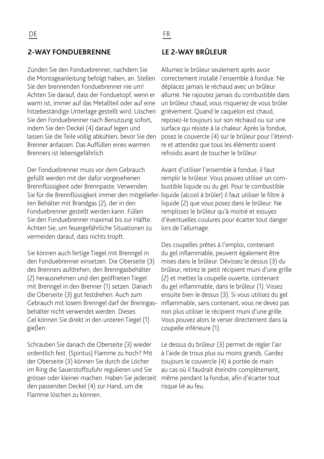## **2-WAY FONDUEBRENNE LE 2-WAY BRÛLEUR**

Zünden Sie den Fonduebrenner, nachdem Sie die Montageanleitung befolgt haben, an. Stellen Sie den brennenden Fonduebrenner nie um! Achten Sie darauf, dass der Fonduetopf, wenn er warm ist, immer auf das Metallteil oder auf eine hitzebeständige Unterlage gestellt wird. Löschen Sie den Fonduebrenner nach Benutzung sofort, indem Sie den Deckel (4) darauf legen und lassen Sie die Teile völlig abkühlen, bevor Sie den Brenner anfassen. Das Auffüllen eines warmen Brenners ist lebensgefährlich.

Der Fonduebrenner muss vor dem Gebrauch gefüllt werden mit der dafür vorgesehenen Brennflüssigkeit oder Brennpaste. Verwenden Sie für die Brennflüssigkeit immer den mitgeliefer-liquide (alcool à brûler) il faut utiliser le filtre à ten Behälter mit Brandgas (2), der in den Fonduebrenner gestellt werden kann. Füllen Sie den Fonduebrenner maximal bis zur Hälfte. Achten Sie, um feuergefährliche Situationen zu vermeiden darauf, dass nichts tropft.

Sie können auch fertige Tiegel mit Brenngel in den Fonduebrenner einsetzen. Die Oberseite (3) des Brenners aufdrehen, den Brenngasbehälter (2) herausnehmen und den geöffneten Tiegel mit Brenngel in den Brenner (1) setzen. Danach die Oberseite (3) gut festdrehen. Auch zum Gebrauch mit losem Brenngel darf der Brenngasbehälter nicht verwendet werden. Dieses Gel können Sie direkt in den unteren Tiegel (1) gießen.

Schrauben Sie danach die Oberseite (3) wieder ordentlich fest. (Spiritus) Flamme zu hoch? Mit der Oberseite (3) können Sie durch die Löcher im Ring die Sauerstoffzufuhr regulieren und Sie grösser oder kleiner machen. Haben Sie jederzeit den passenden Deckel (4) zur Hand, um die Flamme löschen zu können.

Allumez le brûleur seulement après avoir correctement installé l'ensemble à fondue. Ne déplacez jamais le réchaud avec un brûleur allumé. Ne rajoutez jamais du combustible dans un brûleur chaud, vous risqueriez de vous brûler grièvement. Quand le caquelon est chaud, reposez-le toujours sur son réchaud ou sur une surface qui résiste à la chaleur. Après la fondue, posez le couvercle (4) sur le brûleur pour l'éteindre et attendez que tous les éléments soient refroidis avant de toucher le brûleur.

Avant d'utiliser l'ensemble à fondue, il faut remplir le brûleur. Vous pouvez utiliser un combustible liquide ou du gel. Pour le combustible liquide (2) que vous posez dans le brûleur. Ne remplissez le brûleur qu'à moitié et essuyez d'éventuelles coulures pour écarter tout danger lors de l'allumage.

Des coupelles prêtes à l'emploi, contenant du gel inflammable, peuvent également être mises dans le brûleur. Dévissez le dessus (3) du brûleur, retirez le petit récipient muni d'une grille (2) et mettez la coupelle ouverte, contenant du gel inflammable, dans le brûleur (1). Vissez ensuite bien le dessus (3). Si vous utilisez du gel inflammable, sans contenant, vous ne devez pas non plus utiliser le récipient muni d'une grille. Vous pouvez alors le verser directement dans la coupelle inférieure (1).

Le dessus du brûleur (3) permet de régler l'air à l'aide de trous plus ou moins grands. Gardez toujours le couvercle (4) à portée de main au cas où il faudrait éteindre complètement, même pendant la fondue, afin d'écarter tout risque lié au feu.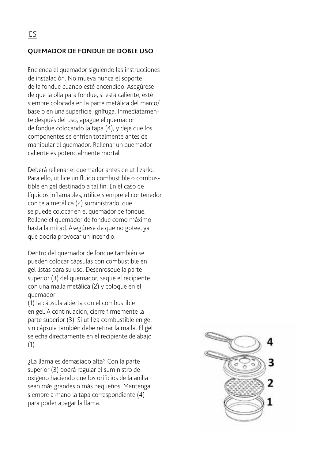## **QUEMADOR DE FONDUE DE DOBLE USO**

Encienda el quemador siguiendo las instrucciones de instalación. No mueva nunca el soporte de la fondue cuando esté encendido. Asegúrese de que la olla para fondue, si está caliente, esté siempre colocada en la parte metálica del marco/ base o en una superficie ignífuga. Inmediatamente después del uso, apague el quemador de fondue colocando la tapa (4), y deje que los componentes se enfríen totalmente antes de manipular el quemador. Rellenar un quemador caliente es potencialmente mortal.

Deberá rellenar el quemador antes de utilizarlo. Para ello, utilice un fluido combustible o combustible en gel destinado a tal fin. En el caso de líquidos inflamables, utilice siempre el contenedor con tela metálica (2) suministrado, que se puede colocar en el quemador de fondue. Rellene el quemador de fondue como máximo hasta la mitad. Asegúrese de que no gotee, ya que podría provocar un incendio.

Dentro del quemador de fondue también se pueden colocar cápsulas con combustible en gel listas para su uso. Desenrosque la parte superior (3) del quemador, saque el recipiente con una malla metálica (2) y coloque en el quemador

(1) la cápsula abierta con el combustible en gel. A continuación, cierre firmemente la parte superior (3). Si utiliza combustible en gel sin cápsula también debe retirar la malla. El gel se echa directamente en el recipiente de abajo (1)

¿La llama es demasiado alta? Con la parte superior (3) podrá regular el suministro de oxígeno haciendo que los orificios de la anilla sean más grandes o más pequeños. Mantenga siempre a mano la tapa correspondiente (4) para poder apagar la llama.

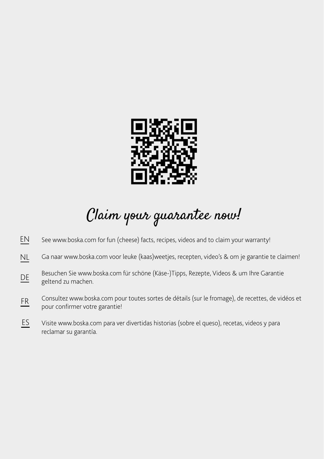

# Claim your guarantee now!

- See www.boska.com for fun (cheese) facts, recipes, videos and to claim your warranty! EN
- Ga naar www.boska.com voor leuke (kaas)weetjes, recepten, video's & om je garantie te claimen! NL
- Besuchen Sie www.boska.com für schöne (Käse-)Tipps, Rezepte, Videos & um Ihre Garantie geltend zu machen. DE
- Consultez www.boska.com pour toutes sortes de détails (sur le fromage), de recettes, de vidéos et pour confirmer votre garantie! FR
- Visite www.boska.com para ver divertidas historias (sobre el queso), recetas, videos y para reclamar su garantía. ES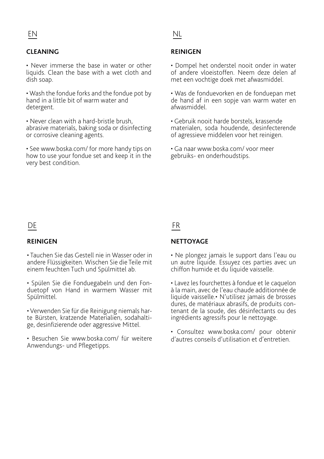# <u>EN</u> NL

## **CLEANING**

• Never immerse the base in water or other liquids. Clean the base with a wet cloth and dish soap.

• Wash the fondue forks and the fondue pot by hand in a little bit of warm water and detergent.

• Never clean with a hard-bristle brush, abrasive materials, baking soda or disinfecting or corrosive cleaning agents.

• See www.boska.com/ for more handy tips on how to use your fondue set and keep it in the very best condition.

## **REINIGEN**

• Dompel het onderstel nooit onder in water of andere vloeistoffen. Neem deze delen af met een vochtige doek met afwasmiddel.

• Was de fonduevorken en de fonduepan met de hand af in een sopje van warm water en afwasmiddel.

• Gebruik nooit harde borstels, krassende materialen, soda houdende, desinfecterende of agressieve middelen voor het reinigen.

• Ga naar www.boska.com/ voor meer gebruiks- en onderhoudstips.

# DE FR

#### **REINIGEN**

• Tauchen Sie das Gestell nie in Wasser oder in andere Flüssigkeiten. Wischen Sie die Teile mit einem feuchten Tuch und Spülmittel ab.

• Spülen Sie die Fonduegabeln und den Fonduetopf von Hand in warmem Wasser mit Spülmittel.

• Verwenden Sie für die Reinigung niemals harte Bürsten, kratzende Materialien, sodahaltige, desinfizierende oder aggressive Mittel.

• Besuchen Sie www.boska.com/ für weitere Anwendungs- und Pflegetipps.

#### **NETTOYAGE**

• Ne plongez jamais le support dans l'eau ou un autre liquide. Essuyez ces parties avec un chiffon humide et du liquide vaisselle.

• Lavez les fourchettes à fondue et le caquelon à la main, avec de l'eau chaude additionnée de liquide vaisselle.• N'utilisez jamais de brosses dures, de matériaux abrasifs, de produits contenant de la soude, des désinfectants ou des ingrédients agressifs pour le nettoyage.

• Consultez www.boska.com/ pour obtenir d'autres conseils d'utilisation et d'entretien.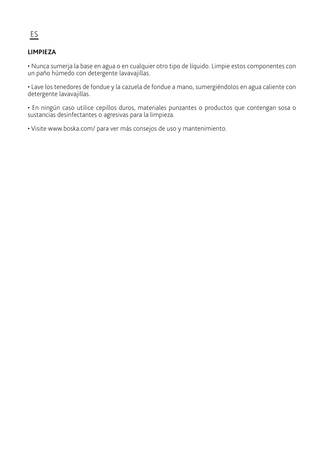# **LIMPIEZA**

• Nunca sumerja la base en agua o en cualquier otro tipo de líquido. Limpie estos componentes con un paño húmedo con detergente lavavajillas.

• Lave los tenedores de fondue y la cazuela de fondue a mano, sumergiéndolos en agua caliente con detergente lavavajillas.

• En ningún caso utilice cepillos duros, materiales punzantes o productos que contengan sosa o sustancias desinfectantes o agresivas para la limpieza.

• Visite www.boska.com/ para ver más consejos de uso y mantenimiento.

# ES